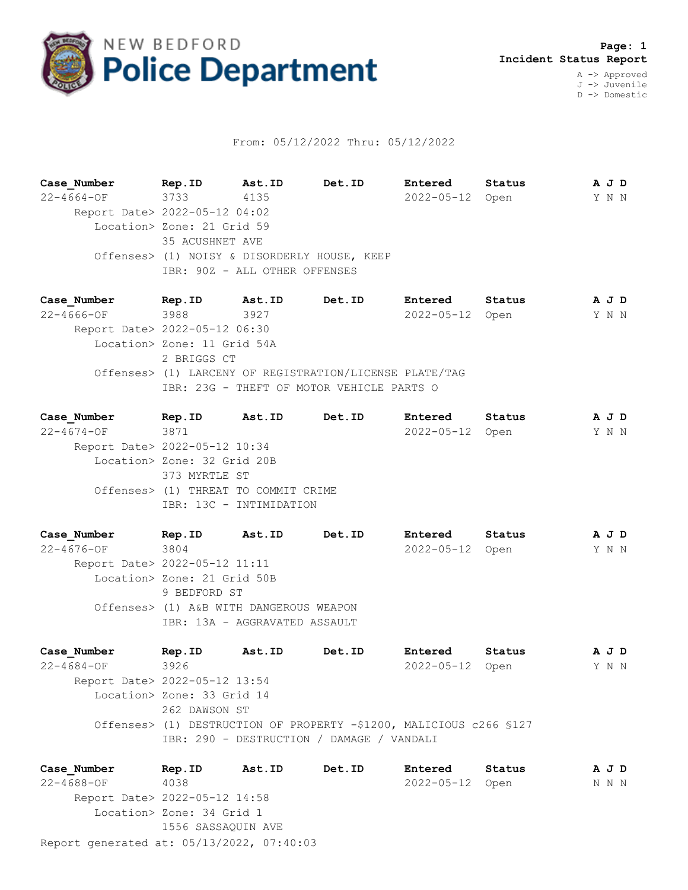

## From: 05/12/2022 Thru: 05/12/2022

**Case\_Number Rep.ID Ast.ID Det.ID Entered Status A J D** 22-4664-OF 3733 4135 2022-05-12 Open Y N N Report Date> 2022-05-12 04:02 Location> Zone: 21 Grid 59 35 ACUSHNET AVE Offenses> (1) NOISY & DISORDERLY HOUSE, KEEP IBR: 90Z - ALL OTHER OFFENSES

**Case\_Number Rep.ID Ast.ID Det.ID Entered Status A J D** 22-4666-OF 3988 3927 2022-05-12 Open Y N N Report Date> 2022-05-12 06:30 Location> Zone: 11 Grid 54A 2 BRIGGS CT Offenses> (1) LARCENY OF REGISTRATION/LICENSE PLATE/TAG IBR: 23G - THEFT OF MOTOR VEHICLE PARTS O

**Case\_Number Rep.ID Ast.ID Det.ID Entered Status A J D** 22-4674-OF 3871 2022-05-12 Open Y N N Report Date> 2022-05-12 10:34 Location> Zone: 32 Grid 20B 373 MYRTLE ST Offenses> (1) THREAT TO COMMIT CRIME IBR: 13C - INTIMIDATION

**Case\_Number Rep.ID Ast.ID Det.ID Entered Status A J D** 22-4676-OF 3804 2022-05-12 Open Y N N Report Date> 2022-05-12 11:11 Location> Zone: 21 Grid 50B 9 BEDFORD ST Offenses> (1) A&B WITH DANGEROUS WEAPON IBR: 13A - AGGRAVATED ASSAULT

**Case\_Number Rep.ID Ast.ID Det.ID Entered Status A J D** 22-4684-OF 3926 2022-05-12 Open Y N N Report Date> 2022-05-12 13:54 Location> Zone: 33 Grid 14 262 DAWSON ST Offenses> (1) DESTRUCTION OF PROPERTY -\$1200, MALICIOUS c266 §127 IBR: 290 - DESTRUCTION / DAMAGE / VANDALI

Report generated at: 05/13/2022, 07:40:03 **Case\_Number Rep.ID Ast.ID Det.ID Entered Status A J D** 22-4688-OF 4038 2022-05-12 Open N N N Report Date> 2022-05-12 14:58 Location> Zone: 34 Grid 1 1556 SASSAQUIN AVE